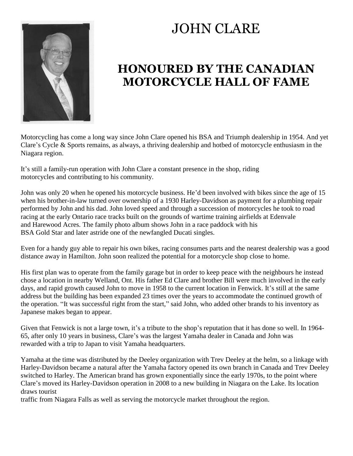## JOHN CLARE



## **HONOURED BY THE CANADIAN MOTORCYCLE HALL OF FAME**

Motorcycling has come a long way since John Clare opened his BSA and Triumph dealership in 1954. And yet Clare's Cycle & Sports remains, as always, a thriving dealership and hotbed of motorcycle enthusiasm in the Niagara region.

It's still a family-run operation with John Clare a constant presence in the shop, riding motorcycles and contributing to his community.

John was only 20 when he opened his motorcycle business. He'd been involved with bikes since the age of 15 when his brother-in-law turned over ownership of a 1930 Harley-Davidson as payment for a plumbing repair performed by John and his dad. John loved speed and through a succession of motorcycles he took to road racing at the early Ontario race tracks built on the grounds of wartime training airfields at Edenvale and Harewood Acres. The family photo album shows John in a race paddock with his BSA Gold Star and later astride one of the newfangled Ducati singles.

Even for a handy guy able to repair his own bikes, racing consumes parts and the nearest dealership was a good distance away in Hamilton. John soon realized the potential for a motorcycle shop close to home.

His first plan was to operate from the family garage but in order to keep peace with the neighbours he instead chose a location in nearby Welland, Ont. His father Ed Clare and brother Bill were much involved in the early days, and rapid growth caused John to move in 1958 to the current location in Fenwick. It's still at the same address but the building has been expanded 23 times over the years to accommodate the continued growth of the operation. "It was successful right from the start," said John, who added other brands to his inventory as Japanese makes began to appear.

Given that Fenwick is not a large town, it's a tribute to the shop's reputation that it has done so well. In 1964-65, after only 10 years in business, Clare's was the largest Yamaha dealer in Canada and John was rewarded with a trip to Japan to visit Yamaha headquarters.

Yamaha at the time was distributed by the Deeley organization with Trev Deeley at the helm, so a linkage with Harley-Davidson became a natural after the Yamaha factory opened its own branch in Canada and Trev Deeley switched to Harley. The American brand has grown exponentially since the early 1970s, to the point where Clare's moved its Harley-Davidson operation in 2008 to a new building in Niagara on the Lake. Its location draws tourist

traffic from Niagara Falls as well as serving the motorcycle market throughout the region.